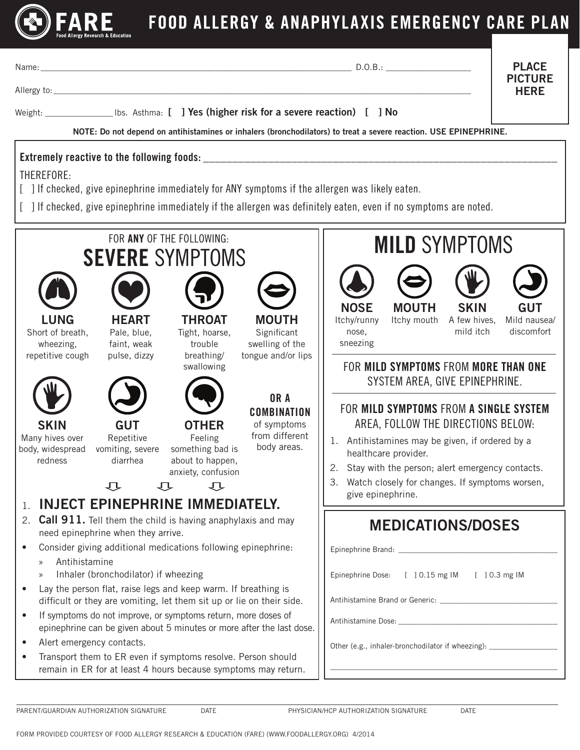

Name: \_\_\_\_\_\_\_\_\_\_\_\_\_\_\_\_\_\_\_\_\_\_\_\_\_\_\_\_\_\_\_\_\_\_\_\_\_\_\_\_\_\_\_\_\_\_\_\_\_\_\_\_\_\_\_\_\_\_\_\_\_\_\_\_\_\_\_\_\_\_\_\_\_ D.O.B.: \_\_\_\_\_\_\_\_\_\_\_\_\_\_\_\_\_\_\_\_

PLACE PICTURE **HFRF** 

Allergy to:\_\_\_\_\_\_\_\_\_\_\_\_\_\_\_\_\_\_\_\_\_\_\_\_\_\_\_\_\_\_\_\_\_\_\_\_\_\_\_\_\_\_\_\_\_\_\_\_\_\_\_\_\_\_\_\_\_\_\_\_\_\_\_\_\_\_\_\_\_\_\_\_\_\_\_\_\_\_\_\_\_\_\_\_\_\_\_\_\_\_\_\_\_\_\_\_\_\_

Weight: University Liberal Integrals (Integrals of the severe reaction) [ ] No

NOTE: Do not depend on antihistamines or inhalers (bronchodilators) to treat a severe reaction. USE EPINEPHRINE.

## Extremely reactive to the following foods:

THEREFORE:

- [ ] If checked, give epinephrine immediately for ANY symptoms if the allergen was likely eaten.
- [ ] If checked, give epinephrine immediately if the allergen was definitely eaten, even if no symptoms are noted.